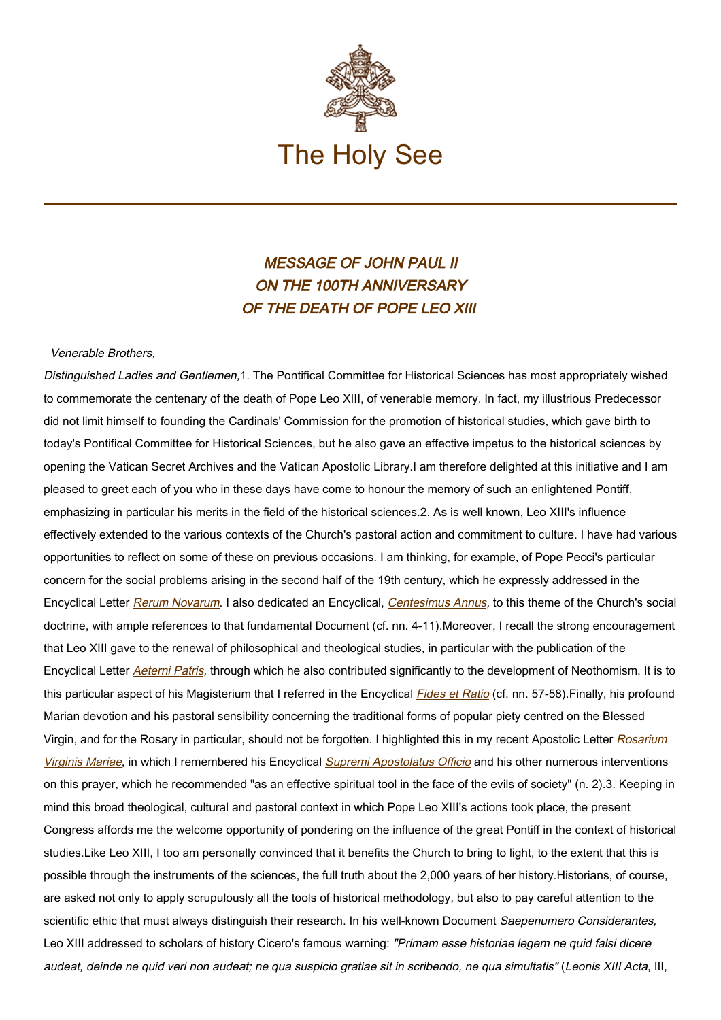

## MESSAGE OF JOHN PAUL II ON THE 100TH ANNIVERSARY OF THE DEATH OF POPE LEO XIII

Venerable Brothers,

Distinguished Ladies and Gentlemen,1. The Pontifical Committee for Historical Sciences has most appropriately wished to commemorate the centenary of the death of Pope Leo XIII, of venerable memory. In fact, my illustrious Predecessor did not limit himself to founding the Cardinals' Commission for the promotion of historical studies, which gave birth to today's Pontifical Committee for Historical Sciences, but he also gave an effective impetus to the historical sciences by opening the Vatican Secret Archives and the Vatican Apostolic Library.I am therefore delighted at this initiative and I am pleased to greet each of you who in these days have come to honour the memory of such an enlightened Pontiff, emphasizing in particular his merits in the field of the historical sciences.2. As is well known, Leo XIII's influence effectively extended to the various contexts of the Church's pastoral action and commitment to culture. I have had various opportunities to reflect on some of these on previous occasions. I am thinking, for example, of Pope Pecci's particular concern for the social problems arising in the second half of the 19th century, which he expressly addressed in the Encyclical Letter [Rerum Novarum](https://www.vatican.va/content/leo-xiii/en/encyclicals/documents/hf_l-xiii_enc_15051891_rerum-novarum.html). I also dedicated an Encyclical, [Centesimus Annus](http://www.vatican.va/edocs/ENG0214/_INDEX.HTM), to this theme of the Church's social doctrine, with ample references to that fundamental Document (cf. nn. 4-11).Moreover, I recall the strong encouragement that Leo XIII gave to the renewal of philosophical and theological studies, in particular with the publication of the Encyclical Letter [Aeterni Patris](https://www.vatican.va/content/leo-xiii/en/encyclicals/documents/hf_l-xiii_enc_04081879_aeterni-patris.html), through which he also contributed significantly to the development of Neothomism. It is to this particular aspect of his Magisterium that I referred in the Encyclical [Fides et Ratio](http://www.vatican.va/edocs/ENG0216/_INDEX.HTM) (cf. nn. 57-58). Finally, his profound Marian devotion and his pastoral sensibility concerning the traditional forms of popular piety centred on the Blessed Virgin, and for the Rosary in particular, should not be forgotten. I highlighted this in my recent Apostolic Letter [Rosarium](https://www.vatican.va/content/john-paul-ii/en/apost_letters/documents/hf_jp-ii_apl_20021016_rosarium-virginis-mariae.html) [Virginis Mariae](https://www.vatican.va/content/john-paul-ii/en/apost_letters/documents/hf_jp-ii_apl_20021016_rosarium-virginis-mariae.html), in which I remembered his Encyclical [Supremi Apostolatus Officio](https://www.vatican.va/content/leo-xiii/en/encyclicals/documents/hf_l-xiii_enc_01091883_supremi-apostolatus-officio.html) and his other numerous interventions on this prayer, which he recommended "as an effective spiritual tool in the face of the evils of society" (n. 2).3. Keeping in mind this broad theological, cultural and pastoral context in which Pope Leo XIII's actions took place, the present Congress affords me the welcome opportunity of pondering on the influence of the great Pontiff in the context of historical studies.Like Leo XIII, I too am personally convinced that it benefits the Church to bring to light, to the extent that this is possible through the instruments of the sciences, the full truth about the 2,000 years of her history.Historians, of course, are asked not only to apply scrupulously all the tools of historical methodology, but also to pay careful attention to the scientific ethic that must always distinguish their research. In his well-known Document Saepenumero Considerantes, Leo XIII addressed to scholars of history Cicero's famous warning: "Primam esse historiae legem ne quid falsi dicere audeat, deinde ne quid veri non audeat; ne qua suspicio gratiae sit in scribendo, ne qua simultatis" (Leonis XIII Acta, III,